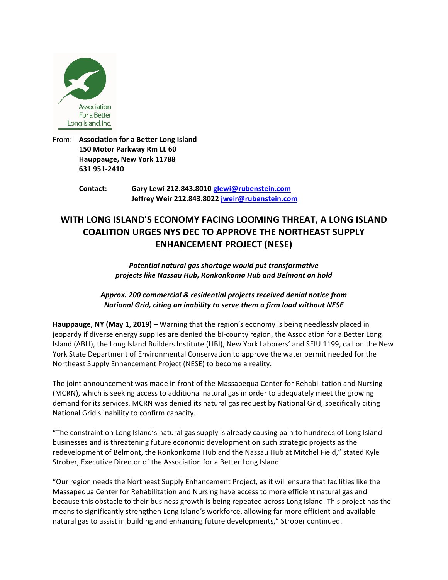

From: Association for a Better Long Island **150 Motor Parkway Rm LL 60 Hauppauge, New York 11788 631 951-2410** 

> **Contact: Gary Lewi 212.843.8010 glewi@rubenstein.com Jeffrey Weir 212.843.8022 jweir@rubenstein.com**

# WITH LONG ISLAND'S ECONOMY FACING LOOMING THREAT, A LONG ISLAND **COALITION URGES NYS DEC TO APPROVE THE NORTHEAST SUPPLY ENHANCEMENT PROJECT (NESE)**

Potential natural gas shortage would put transformative *projects like Nassau Hub, Ronkonkoma Hub and Belmont on hold*

*Approx. 200 commercial & residential projects received denial notice from National Grid, citing an inability to serve them a firm load without NESE*

**Hauppauge, NY (May 1, 2019)** – Warning that the region's economy is being needlessly placed in jeopardy if diverse energy supplies are denied the bi-county region, the Association for a Better Long Island (ABLI), the Long Island Builders Institute (LIBI), New York Laborers' and SEIU 1199, call on the New York State Department of Environmental Conservation to approve the water permit needed for the Northeast Supply Enhancement Project (NESE) to become a reality.

The joint announcement was made in front of the Massapequa Center for Rehabilitation and Nursing (MCRN), which is seeking access to additional natural gas in order to adequately meet the growing demand for its services. MCRN was denied its natural gas request by National Grid, specifically citing National Grid's inability to confirm capacity.

"The constraint on Long Island's natural gas supply is already causing pain to hundreds of Long Island businesses and is threatening future economic development on such strategic projects as the redevelopment of Belmont, the Ronkonkoma Hub and the Nassau Hub at Mitchel Field," stated Kyle Strober, Executive Director of the Association for a Better Long Island.

"Our region needs the Northeast Supply Enhancement Project, as it will ensure that facilities like the Massapequa Center for Rehabilitation and Nursing have access to more efficient natural gas and because this obstacle to their business growth is being repeated across Long Island. This project has the means to significantly strengthen Long Island's workforce, allowing far more efficient and available natural gas to assist in building and enhancing future developments," Strober continued.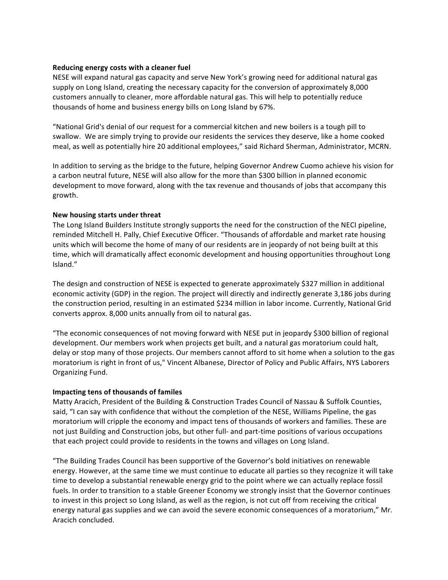### **Reducing energy costs with a cleaner fuel**

NESE will expand natural gas capacity and serve New York's growing need for additional natural gas supply on Long Island, creating the necessary capacity for the conversion of approximately 8,000 customers annually to cleaner, more affordable natural gas. This will help to potentially reduce thousands of home and business energy bills on Long Island by 67%.

"National Grid's denial of our request for a commercial kitchen and new boilers is a tough pill to swallow. We are simply trying to provide our residents the services they deserve, like a home cooked meal, as well as potentially hire 20 additional employees," said Richard Sherman, Administrator, MCRN.

In addition to serving as the bridge to the future, helping Governor Andrew Cuomo achieve his vision for a carbon neutral future, NESE will also allow for the more than \$300 billion in planned economic development to move forward, along with the tax revenue and thousands of jobs that accompany this growth.

## **New housing starts under threat**

The Long Island Builders Institute strongly supports the need for the construction of the NECI pipeline, reminded Mitchell H. Pally, Chief Executive Officer. "Thousands of affordable and market rate housing units which will become the home of many of our residents are in jeopardy of not being built at this time, which will dramatically affect economic development and housing opportunities throughout Long Island."

The design and construction of NESE is expected to generate approximately \$327 million in additional economic activity (GDP) in the region. The project will directly and indirectly generate 3,186 jobs during the construction period, resulting in an estimated \$234 million in labor income. Currently, National Grid converts approx. 8,000 units annually from oil to natural gas.

"The economic consequences of not moving forward with NESE put in jeopardy \$300 billion of regional development. Our members work when projects get built, and a natural gas moratorium could halt, delay or stop many of those projects. Our members cannot afford to sit home when a solution to the gas moratorium is right in front of us," Vincent Albanese, Director of Policy and Public Affairs, NYS Laborers Organizing Fund.

## **Impacting tens of thousands of familes**

Matty Aracich, President of the Building & Construction Trades Council of Nassau & Suffolk Counties, said, "I can say with confidence that without the completion of the NESE, Williams Pipeline, the gas moratorium will cripple the economy and impact tens of thousands of workers and families. These are not just Building and Construction jobs, but other full- and part-time positions of various occupations that each project could provide to residents in the towns and villages on Long Island.

"The Building Trades Council has been supportive of the Governor's bold initiatives on renewable energy. However, at the same time we must continue to educate all parties so they recognize it will take time to develop a substantial renewable energy grid to the point where we can actually replace fossil fuels. In order to transition to a stable Greener Economy we strongly insist that the Governor continues to invest in this project so Long Island, as well as the region, is not cut off from receiving the critical energy natural gas supplies and we can avoid the severe economic consequences of a moratorium," Mr. Aracich concluded.